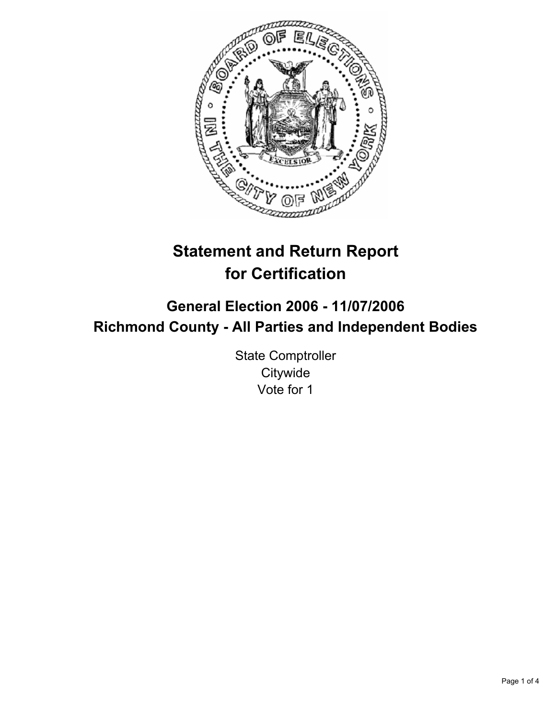

# **Statement and Return Report for Certification**

## **General Election 2006 - 11/07/2006 Richmond County - All Parties and Independent Bodies**

State Comptroller **Citywide** Vote for 1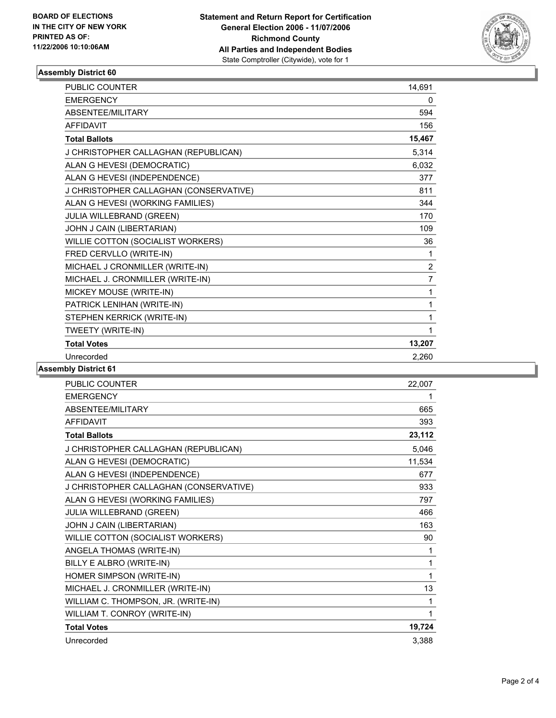

#### **Assembly District 60**

| <b>PUBLIC COUNTER</b>                  | 14,691         |
|----------------------------------------|----------------|
| <b>EMERGENCY</b>                       | 0              |
| ABSENTEE/MILITARY                      | 594            |
| <b>AFFIDAVIT</b>                       | 156            |
| <b>Total Ballots</b>                   | 15,467         |
| J CHRISTOPHER CALLAGHAN (REPUBLICAN)   | 5,314          |
| ALAN G HEVESI (DEMOCRATIC)             | 6,032          |
| ALAN G HEVESI (INDEPENDENCE)           | 377            |
| J CHRISTOPHER CALLAGHAN (CONSERVATIVE) | 811            |
| ALAN G HEVESI (WORKING FAMILIES)       | 344            |
| JULIA WILLEBRAND (GREEN)               | 170            |
| JOHN J CAIN (LIBERTARIAN)              | 109            |
| WILLIE COTTON (SOCIALIST WORKERS)      | 36             |
| FRED CERVLLO (WRITE-IN)                | 1              |
| MICHAEL J CRONMILLER (WRITE-IN)        | $\overline{2}$ |
| MICHAEL J. CRONMILLER (WRITE-IN)       | 7              |
| MICKEY MOUSE (WRITE-IN)                | 1              |
| PATRICK LENIHAN (WRITE-IN)             |                |
| STEPHEN KERRICK (WRITE-IN)             | 1              |
| TWEETY (WRITE-IN)                      |                |
| <b>Total Votes</b>                     | 13,207         |
| Unrecorded                             | 2.260          |

#### **Assembly District 61**

| <b>EMERGENCY</b><br>ABSENTEE/MILITARY<br>665<br><b>AFFIDAVIT</b><br>393<br>23,112<br><b>Total Ballots</b><br>J CHRISTOPHER CALLAGHAN (REPUBLICAN)<br>5,046<br>ALAN G HEVESI (DEMOCRATIC)<br>11,534<br>ALAN G HEVESI (INDEPENDENCE)<br>677 |
|-------------------------------------------------------------------------------------------------------------------------------------------------------------------------------------------------------------------------------------------|
|                                                                                                                                                                                                                                           |
|                                                                                                                                                                                                                                           |
|                                                                                                                                                                                                                                           |
|                                                                                                                                                                                                                                           |
|                                                                                                                                                                                                                                           |
|                                                                                                                                                                                                                                           |
|                                                                                                                                                                                                                                           |
| J CHRISTOPHER CALLAGHAN (CONSERVATIVE)<br>933                                                                                                                                                                                             |
| ALAN G HEVESI (WORKING FAMILIES)<br>797                                                                                                                                                                                                   |
| JULIA WILLEBRAND (GREEN)<br>466                                                                                                                                                                                                           |
| JOHN J CAIN (LIBERTARIAN)<br>163                                                                                                                                                                                                          |
| WILLIE COTTON (SOCIALIST WORKERS)<br>90                                                                                                                                                                                                   |
| ANGELA THOMAS (WRITE-IN)<br>1                                                                                                                                                                                                             |
| BILLY E ALBRO (WRITE-IN)<br>1                                                                                                                                                                                                             |
| HOMER SIMPSON (WRITE-IN)<br>1                                                                                                                                                                                                             |
| MICHAEL J. CRONMILLER (WRITE-IN)<br>13                                                                                                                                                                                                    |
| WILLIAM C. THOMPSON, JR. (WRITE-IN)<br>1                                                                                                                                                                                                  |
| WILLIAM T. CONROY (WRITE-IN)<br>1                                                                                                                                                                                                         |
| 19,724<br><b>Total Votes</b>                                                                                                                                                                                                              |
| Unrecorded<br>3.388                                                                                                                                                                                                                       |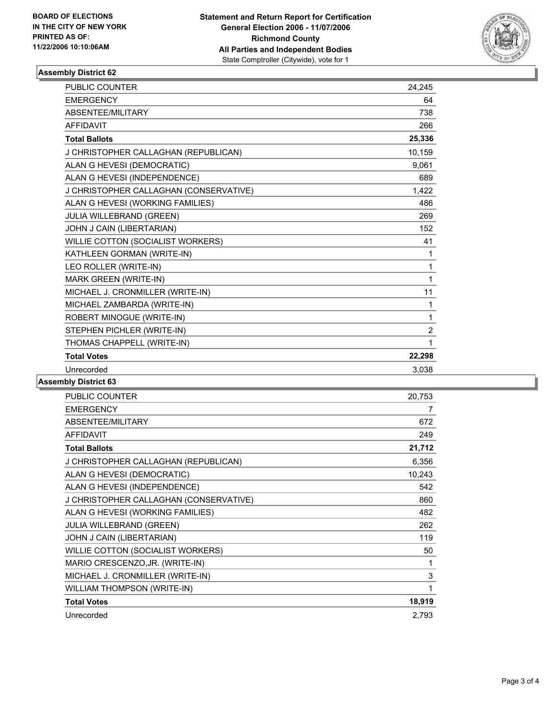

#### **Assembly District 62**

| <b>PUBLIC COUNTER</b>                  | 24.245         |  |
|----------------------------------------|----------------|--|
| <b>EMERGENCY</b>                       | 64             |  |
| ABSENTEE/MILITARY                      | 738            |  |
| <b>AFFIDAVIT</b>                       | 266            |  |
| <b>Total Ballots</b>                   | 25,336         |  |
| J CHRISTOPHER CALLAGHAN (REPUBLICAN)   | 10,159         |  |
| ALAN G HEVESI (DEMOCRATIC)             | 9.061          |  |
| ALAN G HEVESI (INDEPENDENCE)           | 689            |  |
| J CHRISTOPHER CALLAGHAN (CONSERVATIVE) | 1,422          |  |
| ALAN G HEVESI (WORKING FAMILIES)       | 486            |  |
| JULIA WILLEBRAND (GREEN)               | 269            |  |
| JOHN J CAIN (LIBERTARIAN)              | 152            |  |
| WILLIE COTTON (SOCIALIST WORKERS)      | 41             |  |
| KATHLEEN GORMAN (WRITE-IN)             | 1              |  |
| LEO ROLLER (WRITE-IN)                  | 1              |  |
| MARK GREEN (WRITE-IN)                  | 1              |  |
| MICHAEL J. CRONMILLER (WRITE-IN)       | 11             |  |
| MICHAEL ZAMBARDA (WRITE-IN)            | 1              |  |
| ROBERT MINOGUE (WRITE-IN)              | 1              |  |
| STEPHEN PICHLER (WRITE-IN)             | $\overline{2}$ |  |
| THOMAS CHAPPELL (WRITE-IN)             | 1              |  |
| <b>Total Votes</b>                     | 22,298         |  |
| Unrecorded                             | 3,038          |  |

### **Assembly District 63**

| <b>PUBLIC COUNTER</b>                  | 20,753      |
|----------------------------------------|-------------|
| <b>EMERGENCY</b>                       | 7           |
| ABSENTEE/MILITARY                      | 672         |
| <b>AFFIDAVIT</b>                       | 249         |
| <b>Total Ballots</b>                   | 21,712      |
| J CHRISTOPHER CALLAGHAN (REPUBLICAN)   | 6,356       |
| ALAN G HEVESI (DEMOCRATIC)             | 10,243      |
| ALAN G HEVESI (INDEPENDENCE)           | 542         |
| J CHRISTOPHER CALLAGHAN (CONSERVATIVE) | 860         |
| ALAN G HEVESI (WORKING FAMILIES)       | 482         |
| <b>JULIA WILLEBRAND (GREEN)</b>        | 262         |
| JOHN J CAIN (LIBERTARIAN)              | 119         |
| WILLIE COTTON (SOCIALIST WORKERS)      | 50          |
| MARIO CRESCENZO, JR. (WRITE-IN)        | 1           |
| MICHAEL J. CRONMILLER (WRITE-IN)       | $\mathsf 3$ |
| WILLIAM THOMPSON (WRITE-IN)            |             |
| <b>Total Votes</b>                     | 18,919      |
| Unrecorded                             | 2,793       |